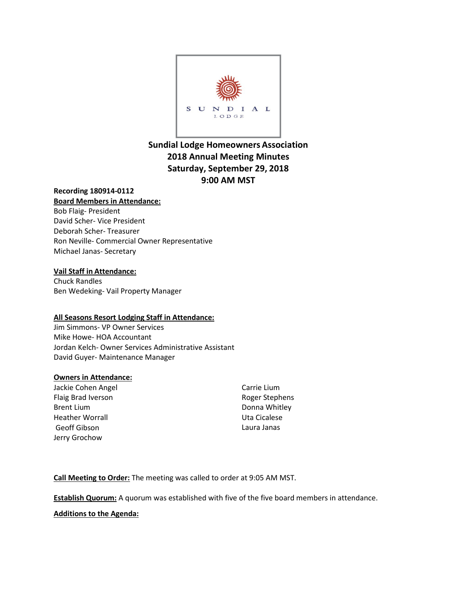

# **Sundial Lodge Homeowners Association 2018 Annual Meeting Minutes Saturday, September 29, 2018 9:00 AM MST**

## **Recording 180914-0112 Board Members in Attendance:**

Bob Flaig- President David Scher- Vice President Deborah Scher- Treasurer Ron Neville- Commercial Owner Representative Michael Janas- Secretary

#### **Vail Staff in Attendance:**

Chuck Randles Ben Wedeking- Vail Property Manager

#### **All Seasons Resort Lodging Staff in Attendance:**

Jim Simmons- VP Owner Services Mike Howe- HOA Accountant Jordan Kelch- Owner Services Administrative Assistant David Guyer- Maintenance Manager

#### **Owners in Attendance:**

Jackie Cohen Angel Flaig Brad Iverson Brent Lium Heather Worrall Geoff Gibson Jerry Grochow

Carrie Lium Roger Stephens Donna Whitley Uta Cicalese Laura Janas

**Call Meeting to Order:** The meeting was called to order at 9:05 AM MST.

**Establish Quorum:** A quorum was established with five of the five board members in attendance.

#### **Additions to the Agenda:**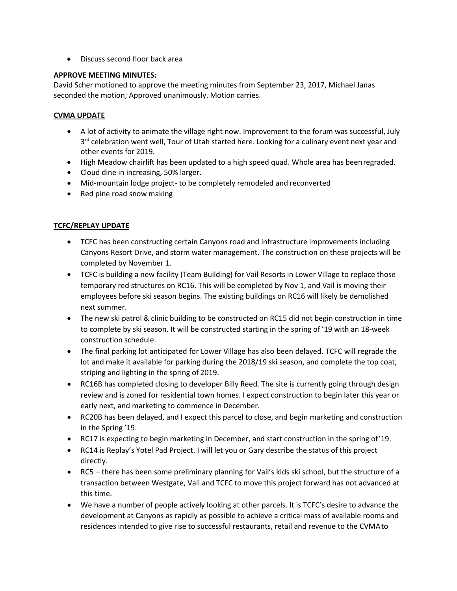• Discuss second floor back area

#### **APPROVE MEETING MINUTES:**

David Scher motioned to approve the meeting minutes from September 23, 2017, Michael Janas seconded the motion; Approved unanimously. Motion carries.

## **CVMA UPDATE**

- A lot of activity to animate the village right now. Improvement to the forum was successful, July  $3<sup>rd</sup>$  celebration went well, Tour of Utah started here. Looking for a culinary event next year and other events for 2019.
- High Meadow chairlift has been updated to a high speed quad. Whole area has beenregraded.
- Cloud dine in increasing, 50% larger.
- Mid-mountain lodge project- to be completely remodeled and reconverted
- Red pine road snow making

# **TCFC/REPLAY UPDATE**

- TCFC has been constructing certain Canyons road and infrastructure improvements including Canyons Resort Drive, and storm water management. The construction on these projects will be completed by November 1.
- TCFC is building a new facility (Team Building) for Vail Resorts in Lower Village to replace those temporary red structures on RC16. This will be completed by Nov 1, and Vail is moving their employees before ski season begins. The existing buildings on RC16 will likely be demolished next summer.
- The new ski patrol & clinic building to be constructed on RC15 did not begin construction in time to complete by ski season. It will be constructed starting in the spring of '19 with an 18-week construction schedule.
- The final parking lot anticipated for Lower Village has also been delayed. TCFC will regrade the lot and make it available for parking during the 2018/19 ski season, and complete the top coat, striping and lighting in the spring of 2019.
- RC16B has completed closing to developer Billy Reed. The site is currently going through design review and is zoned for residential town homes. I expect construction to begin later this year or early next, and marketing to commence in December.
- RC20B has been delayed, and I expect this parcel to close, and begin marketing and construction in the Spring '19.
- RC17 is expecting to begin marketing in December, and start construction in the spring of'19.
- RC14 is Replay's Yotel Pad Project. I will let you or Gary describe the status of this project directly.
- RC5 there has been some preliminary planning for Vail's kids ski school, but the structure of a transaction between Westgate, Vail and TCFC to move this project forward has not advanced at this time.
- We have a number of people actively looking at other parcels. It is TCFC's desire to advance the development at Canyons as rapidly as possible to achieve a critical mass of available rooms and residences intended to give rise to successful restaurants, retail and revenue to the CVMAto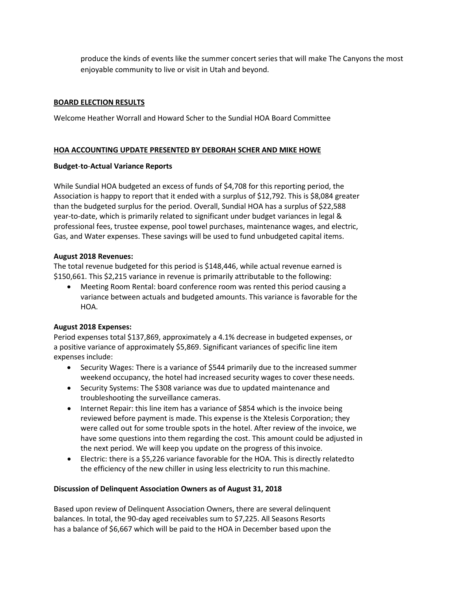produce the kinds of events like the summer concert series that will make The Canyons the most enjoyable community to live or visit in Utah and beyond.

#### **BOARD ELECTION RESULTS**

Welcome Heather Worrall and Howard Scher to the Sundial HOA Board Committee

## **HOA ACCOUNTING UPDATE PRESENTED BY DEBORAH SCHER AND MIKE HOWE**

#### **Budget**-**to**-**Actual Variance Reports**

While Sundial HOA budgeted an excess of funds of \$4,708 for this reporting period, the Association is happy to report that it ended with a surplus of \$12,792. This is \$8,084 greater than the budgeted surplus for the period. Overall, Sundial HOA has a surplus of \$22,588 year-to-date, which is primarily related to significant under budget variances in legal & professional fees, trustee expense, pool towel purchases, maintenance wages, and electric, Gas, and Water expenses. These savings will be used to fund unbudgeted capital items.

#### **August 2018 Revenues:**

The total revenue budgeted for this period is \$148,446, while actual revenue earned is \$150,661. This \$2,215 variance in revenue is primarily attributable to the following:

• Meeting Room Rental: board conference room was rented this period causing a variance between actuals and budgeted amounts. This variance is favorable for the HOA.

#### **August 2018 Expenses:**

Period expenses total \$137,869, approximately a 4.1% decrease in budgeted expenses, or a positive variance of approximately \$5,869. Significant variances of specific line item expenses include:

- Security Wages: There is a variance of \$544 primarily due to the increased summer weekend occupancy, the hotel had increased security wages to cover theseneeds.
- Security Systems: The \$308 variance was due to updated maintenance and troubleshooting the surveillance cameras.
- Internet Repair: this line item has a variance of \$854 which is the invoice being reviewed before payment is made. This expense is the Xtelesis Corporation; they were called out for some trouble spots in the hotel. After review of the invoice, we have some questions into them regarding the cost. This amount could be adjusted in the next period. We will keep you update on the progress of thisinvoice.
- Electric: there is a \$5,226 variance favorable for the HOA. This is directly relatedto the efficiency of the new chiller in using less electricity to run thismachine.

#### **Discussion of Delinquent Association Owners as of August 31, 2018**

Based upon review of Delinquent Association Owners, there are several delinquent balances. In total, the 90-day aged receivables sum to \$7,225. All Seasons Resorts has a balance of \$6,667 which will be paid to the HOA in December based upon the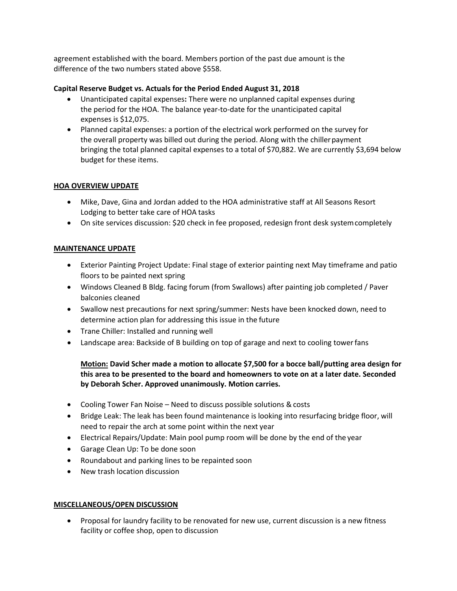agreement established with the board. Members portion of the past due amount is the difference of the two numbers stated above \$558.

## **Capital Reserve Budget vs. Actuals for the Period Ended August 31, 2018**

- Unanticipated capital expenses**:** There were no unplanned capital expenses during the period for the HOA. The balance year-to-date for the unanticipated capital expenses is \$12,075.
- Planned capital expenses: a portion of the electrical work performed on the survey for the overall property was billed out during the period. Along with the chiller payment bringing the total planned capital expenses to a total of \$70,882. We are currently \$3,694 below budget for these items.

## **HOA OVERVIEW UPDATE**

- Mike, Dave, Gina and Jordan added to the HOA administrative staff at All Seasons Resort Lodging to better take care of HOA tasks
- On site services discussion: \$20 check in fee proposed, redesign front desk system completely

# **MAINTENANCE UPDATE**

- Exterior Painting Project Update: Final stage of exterior painting next May timeframe and patio floors to be painted next spring
- Windows Cleaned B Bldg. facing forum (from Swallows) after painting job completed / Paver balconies cleaned
- Swallow nest precautions for next spring/summer: Nests have been knocked down, need to determine action plan for addressing this issue in the future
- Trane Chiller: Installed and running well
- Landscape area: Backside of B building on top of garage and next to cooling towerfans

# **Motion: David Scher made a motion to allocate \$7,500 for a bocce ball/putting area design for this area to be presented to the board and homeowners to vote on at a later date. Seconded by Deborah Scher. Approved unanimously. Motion carries.**

- Cooling Tower Fan Noise Need to discuss possible solutions & costs
- Bridge Leak: The leak has been found maintenance is looking into resurfacing bridge floor, will need to repair the arch at some point within the next year
- Electrical Repairs/Update: Main pool pump room will be done by the end of the year
- Garage Clean Up: To be done soon
- Roundabout and parking lines to be repainted soon
- New trash location discussion

#### **MISCELLANEOUS/OPEN DISCUSSION**

• Proposal for laundry facility to be renovated for new use, current discussion is a new fitness facility or coffee shop, open to discussion